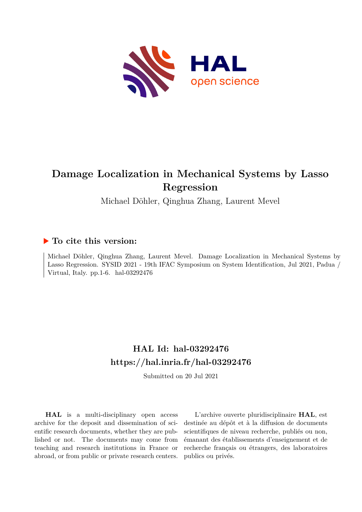

# **Damage Localization in Mechanical Systems by Lasso Regression**

Michael Döhler, Qinghua Zhang, Laurent Mevel

# **To cite this version:**

Michael Döhler, Qinghua Zhang, Laurent Mevel. Damage Localization in Mechanical Systems by Lasso Regression. SYSID 2021 - 19th IFAC Symposium on System Identification, Jul 2021, Padua / Virtual, Italy. pp.1-6. hal-03292476

# **HAL Id: hal-03292476 <https://hal.inria.fr/hal-03292476>**

Submitted on 20 Jul 2021

**HAL** is a multi-disciplinary open access archive for the deposit and dissemination of scientific research documents, whether they are published or not. The documents may come from teaching and research institutions in France or abroad, or from public or private research centers.

L'archive ouverte pluridisciplinaire **HAL**, est destinée au dépôt et à la diffusion de documents scientifiques de niveau recherche, publiés ou non, émanant des établissements d'enseignement et de recherche français ou étrangers, des laboratoires publics ou privés.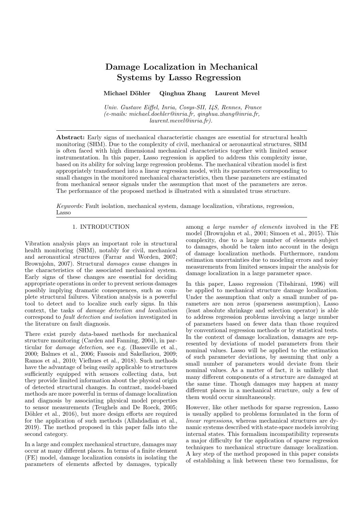# Damage Localization in Mechanical Systems by Lasso Regression

## Michael Döhler Qinghua Zhang Laurent Mevel

Univ. Gustave Eiffel, Inria, Cosys-SII, I4S, Rennes, France (e-mails: michael.doehler@inria.fr, qinghua.zhang@inria.fr, laurent.mevel@inria.fr).

Abstract: Early signs of mechanical characteristic changes are essential for structural health monitoring (SHM). Due to the complexity of civil, mechanical or aeronautical structures, SHM is often faced with high dimensional mechanical characteristics together with limited sensor instrumentation. In this paper, Lasso regression is applied to address this complexity issue, based on its ability for solving large regression problems. The mechanical vibration model is first appropriately transformed into a linear regression model, with its parameters corresponding to small changes in the monitored mechanical characteristics, then these parameters are estimated from mechanical sensor signals under the assumption that most of the parameters are zeros. The performance of the proposed method is illustrated with a simulated truss structure.

Keywords: Fault isolation, mechanical system, damage localization, vibrations, regression, Lasso

#### 1. INTRODUCTION

Vibration analysis plays an important role in structural health monitoring (SHM), notably for civil, mechanical and aeronautical structures (Farrar and Worden, 2007; Brownjohn, 2007). Structural damages cause changes in the characteristics of the associated mechanical system. Early signs of these changes are essential for deciding appropriate operations in order to prevent serious damages possibly implying dramatic consequences, such as complete structural failures. Vibration analysis is a powerful tool to detect and to localize such early signs. In this context, the tasks of damage detection and localization correspond to fault detection and isolation investigated in the literature on fault diagnosis.

There exist purely data-based methods for mechanical structure monitoring (Carden and Fanning, 2004), in particular for damage detection, see e.g. (Basseville et al., 2000; Balmes et al., 2006; Fassois and Sakellariou, 2009; Ramos et al., 2010; Viefhues et al., 2018). Such methods have the advantage of being easily applicable to structures sufficiently equipped with sensors collecting data, but they provide limited information about the physical origin of detected structural changes. In contrast, model-based methods are more powerful in terms of damage localization and diagnosis by associating physical model properties to sensor measurements (Teughels and De Roeck, 2005; Döhler et al., 2016), but more design efforts are required for the application of such methods (Allahdadian et al., 2019). The method proposed in this paper falls into the second category.

In a large and complex mechanical structure, damages may occur at many different places. In terms of a finite element (FE) model, damage localization consists in isolating the parameters of elements affected by damages, typically among a large number of elements involved in the FE model (Brownjohn et al., 2001; Simoen et al., 2015). This complexity, due to a large number of elements subject to damages, should be taken into account in the design of damage localization methods. Furthermore, random estimation uncertainties due to modeling errors and noisy measurements from limited sensors impair the analysis for damage localization in a large parameter space.

In this paper, Lasso regression (Tibshirani, 1996) will be applied to mechanical structure damage localization. Under the assumption that only a small number of parameters are non zeros (sparseness assumption), Lasso (least absolute shrinkage and selection operator) is able to address regression problems involving a large number of parameters based on fewer data than those required by conventional regression methods or by statistical tests. In the context of damage localization, damages are represented by deviations of model parameters from their nominal values. Lasso will be applied to the estimation of such parameter deviations, by assuming that only a small number of parameters would deviate from their nominal values. As a matter of fact, it is unlikely that many different components of a structure are damaged at the same time. Though damages may happen at many different places in a mechanical structure, only a few of them would occur simultaneously.

However, like other methods for sparse regression, Lasso is usually applied to problems formulated in the form of linear regressions, whereas mechanical structures are dynamic systems described with state-space models involving internal states. This formalism incompatibility represents a major difficulty for the application of sparse regression techniques to mechanical structure damage localization. A key step of the method proposed in this paper consists of establishing a link between these two formalisms, for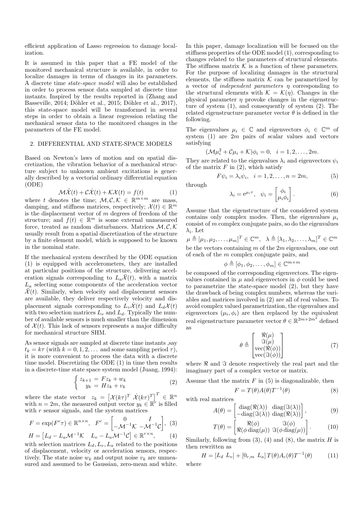efficient application of Lasso regression to damage localization.

It is assumed in this paper that a FE model of the monitored mechanical structure is available, in order to localize damages in terms of changes in its parameters. A discrete time state-space model will also be established in order to process sensor data sampled at discrete time instants. Inspired by the results reported in (Zhang and Basseville, 2014; Döhler et al., 2015; Döhler et al., 2017), this state-space model will be transformed in several steps in order to obtain a linear regression relating the mechanical sensor data to the monitored changes in the parameters of the FE model.

## 2. DIFFERENTIAL AND STATE-SPACE MODELS

Based on Newton's laws of motion and on spatial discretization, the vibration behavior of a mechanical structure subject to unknown ambient excitations is generally described by a vectorial ordinary differential equation (ODE)

$$
\mathcal{M}\ddot{\mathcal{X}}(t) + \mathcal{C}\dot{\mathcal{X}}(t) + \mathcal{K}\mathcal{X}(t) = f(t)
$$
 (1)

where t denotes the time;  $\mathcal{M}, \mathcal{C}, \mathcal{K} \in \mathbb{R}^{m \times m}$  are mass, damping, and stiffness matrices, respectively;  $\mathcal{X}(t) \in \mathbb{R}^m$ is the displacement vector of  $m$  degrees of freedom of the structure; and  $f(t) \in \mathbb{R}^m$  is some external unmeasured force, treated as random disturbances. Matrices  $M, C, K$ usually result from a spatial discretization of the structure by a finite element model, which is supposed to be known in the nominal state.

If the mechanical system described by the ODE equation (1) is equipped with accelerometers, they are installed at particular positions of the structure, delivering acceleration signals corresponding to  $L_a\mathcal{X}(t)$ , with a matrix  $L_a$  selecting some components of the acceleration vector  $\mathcal{X}(t)$ . Similarly, when velocity and displacement sensors are available, they deliver respectively velocity and displacement signals corresponding to  $L_v\ddot{\mathcal{X}}(t)$  and  $L_d\mathcal{X}(t)$ with two selection matrices  $L_v$  and  $L_d$ . Typically the number of available sensors is much smaller than the dimension of  $\mathcal{X}(t)$ . This lack of sensors represents a major difficulty for mechanical structure SHM.

As sensor signals are sampled at discrete time instants ,say  $t_k = k\tau$  (with  $k = 0, 1, 2, \ldots$  and some sampling period  $\tau$ ), it is more convenient to process the data with a discrete time model. Discretizing the ODE (1) in time then results in a discrete-time state space system model (Juang, 1994):

$$
\begin{cases}\nz_{k+1} = Fz_k + w_k \\
y_k = Hz_k + v_k\n\end{cases} \tag{2}
$$

where the state vector  $z_k = \left[ \mathcal{X}(k\tau)^T \dot{\mathcal{X}}(k\tau)^T \right]^T \in \mathbb{R}^n$ with  $n = 2m$ , the measured output vector  $y_k \in \mathbb{R}^r$  is filled with  $r$  sensor signals, and the system matrices

$$
F = \exp(F^c \tau) \in \mathbb{R}^{n \times n}, \quad F^c = \begin{bmatrix} 0 & I \\ -\mathcal{M}^{-1} \mathcal{K} & -\mathcal{M}^{-1} \mathcal{C} \end{bmatrix}, \tag{3}
$$

$$
H = [L_d - L_a \mathcal{M}^{-1} \mathcal{K} \quad L_v - L_a \mathcal{M}^{-1} \mathcal{C}] \in \mathbb{R}^{r \times n}, \tag{4}
$$
  
with selection matrices  $I, I, I$  related to the positions

with selection matrices  $L_d, L_v, L_a$  related to the positions of displacement, velocity or acceleration sensors, respectively. The state noise  $w_k$  and output noise  $v_k$  are unmeasured and assumed to be Gaussian, zero-mean and white. In this paper, damage localization will be focused on the stiffness properties of the ODE model (1), corresponding to changes related to the parameters of structural elements. The stiffness matrix  $K$  is a function of these parameters. For the purpose of localizing damages in the structural elements, the stiffness matrix  $K$  can be parametrized by a vector of *independent parameters*  $\eta$  corresponding to the structural elements with  $\mathcal{K} = \mathcal{K}(\eta)$ . Changes in the physical parameter  $\eta$  provoke changes in the eigenstructure of system (1), and consequently of system (2). The related eigenstructure parameter vector  $\theta$  is defined in the following.

The eigenvalues  $\mu_i \in \mathbb{C}$  and eigenvectors  $\phi_i \in \mathbb{C}^m$  of system  $(1)$  are  $2m$  pairs of scalar values and vectors satisfying

$$
(\mathcal{M}\mu_i^2 + \mathcal{C}\mu_i + \mathcal{K})\phi_i = 0, \quad i = 1, 2, \dots, 2m.
$$

They are related to the eigenvalues  $\lambda_i$  and eigenvectors  $\psi_i$ of the matrix  $F$  in (2), which satisfy

$$
F\psi_i = \lambda_i \psi_i, \quad i = 1, 2, \dots, n = 2m,
$$
\n<sup>(5)</sup>

through

$$
\lambda_i = e^{\mu_i \tau}, \quad \psi_i = \begin{bmatrix} \phi_i \\ \mu_i \phi_i \end{bmatrix}.
$$
 (6)

Assume that the eigenstructure of the considered system contains only complex modes. Then, the eigenvalues  $\mu_i$ consist of  $m$  complex conjugate pairs, so do the eigenvalues  $\lambda_i$ . Let

$$
\mu \triangleq [\mu_1, \mu_2, \dots, \mu_m]^T \in \mathbb{C}^m, \quad \lambda \triangleq [\lambda_1, \lambda_2, \dots, \lambda_m]^T \in \mathbb{C}^m
$$
  
be the vectors containing *m* of the 2*m* eigenvalues, one out  
of each of the *m* complex conjugate pairs, and

$$
\phi \triangleq [\phi_1, \phi_2, \dots, \phi_m] \in \mathbb{C}^{m \times m}
$$

be composed of the corresponding eigenvectors. The eigenvalues contained in  $\mu$  and eigenvectors in  $\phi$  could be used to parametrize the state-space model (2), but they have the drawback of being complex numbers, whereas the variables and matrices involved in (2) are all of real values. To avoid complex valued parametrization, the eigenvalues and eigenvectors  $(\mu_i, \phi_i)$  are then replaced by the equivalent real eigenstructure parameter vector  $\theta \in \mathbb{R}^{2m+2m^2}$  defined as

$$
\theta \triangleq \begin{bmatrix} \Re(\mu) \\ \Im(\mu) \\ \vec{\mathbf{v}}(\mathcal{R}(\phi)) \\ \vec{\mathbf{v}}(\mathcal{R}(\phi)) \end{bmatrix}
$$
(7)

where  $\Re$  and  $\Im$  denote respectively the real part and the imaginary part of a complex vector or matrix.

Assume that the matrix  $F$  in  $(5)$  is diagonalizable, then

$$
F = T(\theta)A(\theta)T^{-1}(\theta)
$$
\n(8)

with real matrices

$$
A(\theta) = \begin{bmatrix} \text{diag}(\Re(\lambda)) & \text{diag}(\Im(\lambda)) \\ -\text{diag}(\Im(\lambda)) & \text{diag}(\Re(\lambda)) \end{bmatrix},
$$
(9)

$$
T(\theta) = \begin{bmatrix} \Re(\phi) & \Im(\phi) \\ \Re(\phi \operatorname{diag}(\mu)) & \Im(\phi \operatorname{diag}(\mu)) \end{bmatrix}.
$$
 (10)

Similarly, following from  $(3)$ ,  $(4)$  and  $(8)$ , the matrix H is then rewritten as

$$
H = [L_d \ L_v] + [0_{r,m} \ L_a] \ T(\theta) A_c(\theta) T^{-1}(\theta) \tag{11}
$$

where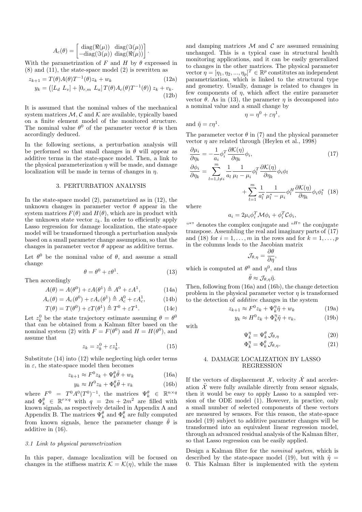$$
A_c(\theta) = \begin{bmatrix} \text{diag}(\Re(\mu)) & \text{diag}(\Im(\mu)) \\ -\text{diag}(\Im(\mu)) & \text{diag}(\Re(\mu)) \end{bmatrix}.
$$

With the parametrization of F and H by  $\theta$  expressed in  $(8)$  and  $(11)$ , the state-space model  $(2)$  is rewritten as

$$
z_{k+1} = T(\theta)A(\theta)T^{-1}(\theta)z_k + w_k
$$
 (12a)  

$$
y_k = ([L_d L_v] + [0_{r,m} L_a]T(\theta)A_c(\theta)T^{-1}(\theta)) z_k + v_k.
$$
 (12b)

It is assumed that the nominal values of the mechanical system matrices  $\mathcal{M}, \mathcal{C}$  and  $\mathcal{K}$  are available, typically based on a finite element model of the monitored structure. The nominal value  $\theta^0$  of the parameter vector  $\theta$  is then accordingly deduced.

In the following sections, a perturbation analysis will be performed so that small changes in  $\theta$  will appear as additive terms in the state-space model. Then, a link to the physical parameterization  $\eta$  will be made, and damage localization will be made in terms of changes in  $\eta$ .

#### 3. PERTURBATION ANALYSIS

In the state-space model (2), parametrized as in (12), the unknown changes in parameter vector  $\theta$  appear in the system matrices  $F(\theta)$  and  $H(\theta)$ , which are in product with the unknown state vector  $z_k$ . In order to efficiently apply Lasso regression for damage localization, the state-space model will be transformed through a perturbation analysis based on a small parameter change assumption, so that the changes in parameter vector  $\theta$  appear as additive terms.

Let  $\theta^0$  be the nominal value of  $\theta$ , and assume a small change

$$
\theta = \theta^0 + \varepsilon \theta^1. \tag{13}
$$

Then accordingly

$$
A(\theta) = A(\theta^0) + \varepsilon A(\theta^1) \triangleq A^0 + \varepsilon A^1,\tag{14a}
$$

$$
A_c(\theta) = A_c(\theta^0) + \varepsilon A_c(\theta^1) \triangleq A_c^0 + \varepsilon A_c^1, \tag{14b}
$$

$$
T(\theta) = T(\theta^0) + \varepsilon T(\theta^1) \triangleq T^0 + \varepsilon T^1.
$$
 (14c)

Let  $z_k^0$  be the state trajectory estimate assuming  $\theta = \theta^0$ that can be obtained from a Kalman filter based on the nominal system (2) with  $F = F(\theta^0)$  and  $H = H(\theta^0)$ , and assume that

$$
z_k = z_k^0 + \varepsilon z_k^1. \tag{15}
$$

Substitute (14) into (12) while neglecting high order terms in  $\varepsilon$ , the state-space model then becomes

$$
z_{k+1} \approx F^0 z_k + \Psi_k^{\theta} \tilde{\theta} + w_k \tag{16a}
$$

$$
y_k \approx H^0 z_k + \Phi_k^{\theta} \tilde{\theta} + v_k \tag{16b}
$$

where  $F^0 = T^0 A^0 (T^0)^{-1}$ , the matrices  $\Psi_k^{\theta} \in \mathbb{R}^{n \times q}$ and  $\Phi_k^{\theta} \in \mathbb{R}^{r \times q}$  with  $q = 2m + 2m^2$  are filled with known signals, as respectively detailed in Appendix A and Appendix B. The matrices  $\Psi_k^{\theta}$  and  $\Phi_k^{\theta}$  are fully computed from known signals, hence the parameter change  $\tilde{\theta}$  is additive in (16).

#### 3.1 Link to physical parametrization

In this paper, damage localization will be focused on changes in the stiffness matrix  $\mathcal{K} = \mathcal{K}(\eta)$ , while the mass and damping matrices  $\mathcal M$  and  $\mathcal C$  are assumed remaining unchanged. This is a typical case in structural health monitoring applications, and it can be easily generalized to changes in the other matrices. The physical parameter vector  $\eta = [\eta_1, \eta_2, ..., \eta_p]^T \in \mathbb{R}^p$  constitutes an independent parametrization, which is linked to the structural type and geometry. Usually, damage is related to changes in few components of  $\eta$ , which affect the entire parameter vector  $\theta$ . As in (13), the parameter  $\eta$  is decomposed into a nominal value and a small change by

$$
\eta = \eta^0 + \varepsilon \eta^1,
$$

and  $\tilde{\eta} = \varepsilon \eta^1$ .

The parameter vector  $\theta$  in (7) and the physical parameter vector  $\eta$  are related through (Heylen et al., 1998)

$$
\frac{\partial \mu_i}{\partial \eta_k} = -\frac{1}{a_i} \phi_i^T \frac{\partial \mathcal{K}(\eta)}{\partial \eta_k} \phi_i, \qquad (17)
$$
\n
$$
\frac{\partial \phi_i}{\partial \eta_k} = \sum_{l=1, l \neq i}^m \frac{1}{a_l} \frac{1}{\mu_l - \mu_i} \phi_l^T \frac{\partial \mathcal{K}(\eta)}{\partial \eta_k} \phi_i \phi_l + \sum_{l=1}^m \frac{1}{a_l^*} \frac{1}{\mu_l^* - \mu_i} \phi_l^H \frac{\partial \mathcal{K}(\eta)}{\partial \eta_k} \phi_i \phi_l^* \quad (18)
$$

where

$$
a_i = 2\mu_i \phi_i^T \mathcal{M} \phi_i + \phi_i^T \mathcal{C} \phi_i,
$$

 $\overset{\text{(**)}}{ }$  denotes the complex conjugate and  $\overset{\text{(}H\text{''})}{ }$  the conjugate transpose. Assembling the real and imaginary parts of (17) and (18) for  $i = 1, \ldots, m$  in the rows and for  $k = 1, \ldots, p$ in the columns leads to the Jacobian matrix

$$
\mathcal{J}_{\theta,\eta}=\frac{\partial\theta}{\partial\eta},
$$

which is computed at  $\theta^0$  and  $\eta^0$ , and thus

$$
\tilde{\theta} \approx \mathcal{J}_{\theta,\eta} \tilde{\eta}.
$$

Then, following from (16a) and (16b), the change detection problem in the physical parameter vector  $\eta$  is transformed to the detection of additive changes in the system

$$
z_{k+1} \approx F^0 z_k + \Psi_k^{\eta} \tilde{\eta} + w_k \tag{19a}
$$

$$
y_k \approx H^0 z_k + \Phi_k^{\eta} \tilde{\eta} + v_k, \qquad (19b)
$$

with

$$
\Psi_k^{\eta} = \Psi_k^{\theta} \mathcal{J}_{\theta,\eta} \tag{20}
$$

$$
\Phi_k^{\eta} = \Phi_k^{\theta} \mathcal{J}_{\theta,\eta}.
$$
\n(21)

### 4. DAMAGE LOCALIZATION BY LASSO REGRESSION

If the vectors of displacement  $\mathcal{X}$ , velocity  $\mathcal{\hat{X}}$  and acceleration  $\ddot{\mathcal{X}}$  were fully available directly from sensor signals, then it would be easy to apply Lasso to a sampled version of the ODE model (1). However, in practice, only a small number of selected components of these vectors are measured by sensors. For this reason, the state-space model (19) subject to additive parameter changes will be transformed into an equivalent linear regression model, through an advanced residual analysis of the Kalman filter, so that Lasso regression can be easily applied.

Design a Kalman filter for the nominal system, which is described by the state-space model (19), but with  $\tilde{\eta}$  = 0. This Kalman filter is implemented with the system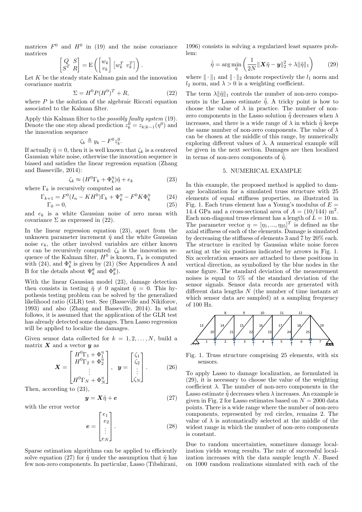matrices  $F^0$  and  $H^0$  in (19) and the noise covariance matrices

$$
\begin{bmatrix} Q & S \\ S^T & R \end{bmatrix} = \mathbf{E} \left( \begin{bmatrix} w_k \\ v_k \end{bmatrix} \begin{bmatrix} w_k^T & v_k^T \end{bmatrix} \right).
$$

Let  $K$  be the steady state Kalman gain and the innovation covariance matrix

$$
\Sigma = H^0 P (H^0)^T + R,\t\t(22)
$$

where  $P$  is the solution of the algebraic Riccati equation associated to the Kalman filter.

Apply this Kalman filter to the *possibly faulty system* (19). Denote the one step ahead prediction  $z_k^0 = z_{k|k-1}(\eta^0)$  and the innovation sequence

$$
\zeta_k \triangleq y_k - F^0 z_k^0.
$$

If actually  $\tilde{\eta} = 0$ , then it is well known that  $\zeta_k$  is a centered Gaussian white noise, otherwise the innovation sequence is biased and satisfies the linear regression equation (Zhang and Basseville, 2014):

$$
\zeta_k \approx (H^0 \Gamma_k + \Phi_k^{\eta}) \tilde{\eta} + e_k \tag{23}
$$

where 
$$
\Gamma_k
$$
 is recursively computed as

$$
\Gamma_{k+1} = F^0 (I_n - KH^0) \Gamma_k + \Psi_k^{\eta} - F^0 K \Phi_k^{\eta} \tag{24}
$$

$$
\Gamma_0 = 0,\tag{25}
$$

and  $e_k$  is a white Gaussian noise of zero mean with covariance  $\Sigma$  as expressed in (22).

In the linear regression equation (23), apart from the unknown parameter increment  $\tilde{\eta}$  and the white Gaussian noise  $e_k$ , the other involved variables are either known or can be recursively computed:  $\zeta_k$  is the innovation sequence of the Kalman filter,  $H^0$  is known,  $\Gamma_k$  is computed with (24), and  $\Phi_k^{\eta}$  is given by (21) (See Appendices A and B for the details about  $\Psi_k^{\theta}$  and  $\Phi_k^{\theta}$ ).

With the linear Gaussian model (23), damage detection then consists in testing  $\tilde{\eta} \neq 0$  against  $\tilde{\eta} = 0$ . This hypothesis testing problem can be solved by the generalized likelihood ratio (GLR) test. See (Basseville and Nikiforov, 1993) and also (Zhang and Basseville, 2014). In what follows, it is assumed that the application of the GLR test has already detected some damages. Then Lasso regression will be applied to localize the damages.

Given sensor data collected for  $k = 1, 2, ..., N$ , build a matrix  $\boldsymbol{X}$  and a vector  $\boldsymbol{y}$  as

$$
\boldsymbol{X} = \begin{bmatrix} H^0 \Gamma_1 + \Phi_1^{\eta} \\ H^0 \Gamma_2 + \Phi_2^{\eta} \\ \vdots \\ H^0 \Gamma_N + \Phi_N^{\eta} \end{bmatrix}, \quad \boldsymbol{y} = \begin{bmatrix} \zeta_1 \\ \zeta_2 \\ \vdots \\ \zeta_N \end{bmatrix} . \tag{26}
$$

Then, according to (23),

$$
y = X\tilde{\eta} + e \tag{27}
$$

with the error vector

$$
\boldsymbol{e} = \begin{bmatrix} e_1 \\ e_2 \\ \vdots \\ e_N \end{bmatrix} . \tag{28}
$$

Sparse estimation algorithms can be applied to efficiently solve equation (27) for  $\tilde{\eta}$  under the assumption that  $\tilde{\eta}$  has few non-zero components. In particular, Lasso (Tibshirani, 1996) consists in solving a regularized least squares problem:

$$
\hat{\tilde{\eta}} = \arg\min_{\tilde{\eta}} \left( \frac{1}{2N} \|\boldsymbol{X}\tilde{\eta} - \boldsymbol{y}\|_2^2 + \lambda \|\tilde{\eta}\|_1 \right) \tag{29}
$$

where  $\|\cdot\|_1$  and  $\|\cdot\|_2$  denote respectively the  $l_1$  norm and  $l_2$  norm, and  $\lambda > 0$  is a weighting coefficient.

The term  $\lambda \|\tilde{\eta}\|_1$  controls the number of non-zero components in the Lasso estimate  $\hat{\tilde{\eta}}$ . A tricky point is how to choose the value of  $\lambda$  in practice. The number of nonzero components in the Lasso solution  $\hat{\tilde{\eta}}$  decreases when  $\lambda$ increases, and there is a wide range of  $\lambda$  in which  $\hat{\tilde{\eta}}$  keeps the same number of non-zero components. The value of  $\lambda$ can be chosen at the middle of this range, by numerically exploring different values of  $\lambda$ . A numerical example will be given in the next section. Damages are then localized in terms of non-zero components of  $\hat{\tilde{\eta}}$ .

### 5. NUMERICAL EXAMPLE

In this example, the proposed method is applied to damage localization for a simulated truss structure with 25 elements of equal stiffness properties, as illustrated in Fig. 1. Each truss element has a Young's modulus of  $E =$ 14.4 GPa and a cross-sectional area of  $A = (10/144)$  m<sup>2</sup>. Each non-diagonal truss element has a length of  $L = 10$  m. The parameter vector  $\eta = [\eta_1, ..., \eta_{25}]^T$  is defined as the axial stiffness of each of the elements. Damage is simulated by decreasing the stiffness of elements 3 and 7 by 20% each. The structure is excited by Gaussian white noise forces acting at the six positions indicated by arrows in Fig. 1. Six acceleration sensors are attached to these positions in vertical direction, as symbolized by the blue nodes in the same figure. The standard deviation of the measurement noises is equal to 5% of the standard deviation of the sensor signals. Sensor data records are generated with different data lengths N (the number of time instants at which sensor data are sampled) at a sampling frequency of 100 Hz.



Fig. 1. Truss structure comprising 25 elements, with six sensors.

To apply Lasso to damage localization, as formulated in (29), it is necessary to choose the value of the weighting coefficient  $\lambda$ . The number of non-zero components in the Lasso estimate  $\hat{\eta}$  decreases when  $\lambda$  increases. An example is given in Fig. 2 for Lasso estimates based on  $N = 2000$  data points. There is a wide range where the number of non-zero components, represented by red circles, remains 2. The value of  $\lambda$  is automatically selected at the middle of the widest range in which the number of non-zero components is constant.

Due to random uncertainties, sometimes damage localization yields wrong results. The rate of successful localization increases with the data sample length N. Based on 1000 random realizations simulated with each of the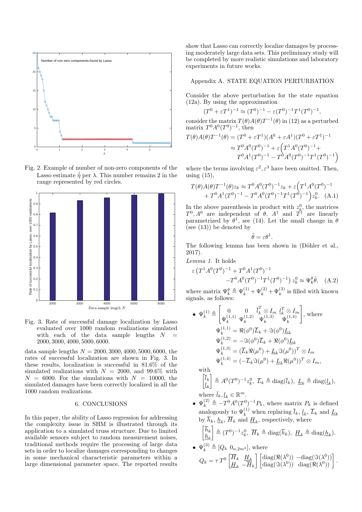

Fig. 2. Example of number of non-zero components of the Lasso estimate  $\hat{\tilde{\eta}}$  per  $\lambda$ . This number remains 2 in the range represented by red circles.



Fig. 3. Rate of successful damage localization by Lasso evaluated over 1000 random realizations simulated with each of the data sample lengths  ${\cal N}$   $\,$   $\,$   $\,$ 2000, 3000, 4000, 5000, 6000.

data sample lengths  $N = 2000, 3000, 4000, 5000, 6000$ , the rates of successful localization are shown in Fig. 3. In these results, localization is successful in 81.6% of the simulated realizations with  $N = 2000$ , and 99.6% with  $N = 6000$ . For the simulations with  $N = 10000$ , the simulated damages have been correctly localized in all the 1000 random realizations.

#### 6. CONCLUSIONS

In this paper, the ability of Lasso regression for addressing the complexity issue in SHM is illustrated through its application to a simulated truss structure. Due to limited available sensors subject to random measurement noises, traditional methods require the processing of large data sets in order to localize damages corresponding to changes in some mechanical characteristic parameters within a large dimensional parameter space. The reported results

show that Lasso can correctly localize damages by processing moderately large data sets. This preliminary study will be completed by more realistic simulations and laboratory experiments in future works.

#### Appendix A. STATE EQUATION PERTURBATION

Consider the above perturbation for the state equation (12a). By using the approximation

$$
(T^{0} + \varepsilon T^{1})^{-1} \approx (T^{0})^{-1} - \varepsilon (T^{0})^{-1} T^{1} (T^{0})^{-1},
$$

consider the matrix  $T(\theta)A(\theta)T^{-1}(\theta)$  in (12) as a perturbed matrix  $T^0A^0(T^0)^{-1}$ , then

$$
T(\theta)A(\theta)T^{-1}(\theta) = (T^0 + \varepsilon T^1)(A^0 + \varepsilon A^1)(T^0 + \varepsilon T^1)^{-1}
$$
  
\n
$$
\approx T^0 A^0 (T^0)^{-1} + \varepsilon (T^1 A^0 (T^0)^{-1} +
$$
  
\n
$$
T^0 A^1 (T^0)^{-1} - T^0 A^0 (T^0)^{-1} T^1 (T^0)^{-1})
$$

where the terms involving  $\varepsilon^2$ ,  $\varepsilon^3$  have been omitted. Then, using  $(15)$ ,

$$
T(\theta)A(\theta)T^{-1}(\theta)z_k \approx T^0 A^0 (T^0)^{-1} z_k + \varepsilon \Big( T^1 A^0 (T^0)^{-1} + T^0 A^1 (T^0)^{-1} - T^0 A^0 (T^0)^{-1} T^1 (T^0)^{-1} \Big) z_k^0.
$$
 (A.1)

In the above parenthesis in product with  $z_k^0$ , the matrices  $T^0$ ,  $A^0$  are independent of  $\theta$ ,  $A^1$  and  $T^1$  are linearly parametrized by  $\theta^1$ , see (14). Let the small change in  $\theta$ (see  $(13)$ ) be denoted by

$$
\tilde{\theta} = \varepsilon \theta^1.
$$

The following lemma has been shown in (Döhler et al., 2017).

Lemma 1. It holds

$$
\varepsilon \left( T^1 A^0 (T^0)^{-1} + T^0 A^1 (T^0)^{-1} \right. \\
\left. - T^0 A^0 (T^0)^{-1} T^1 (T^0)^{-1} \right) z_k^0 \approx \Psi_k^{\theta} \tilde{\theta}, \quad (A.2)
$$

where matrix  $\Psi_k^{\theta} \triangleq \Psi_k^{(1)} + \Psi_k^{(2)} + \Psi_k^{(3)}$  is filled with known signals, as follows:

• 
$$
\Psi_k^{(1)} \triangleq \begin{bmatrix} 0 & 0 & \bar{l}_k^T \otimes I_m & \bar{l}_k^T \otimes I_m \\ \Psi_k^{(1,1)} & \Psi_k^{(1,2)} & \Psi_k^{(1,3)} & \Psi_k^{(1,4)} \end{bmatrix}
$$
, where  
\n
$$
\Psi_k^{(1,1)} = \Re(\phi^0) \bar{L}_k + \Im(\phi^0) \underline{L}_k
$$
\n
$$
\Psi_k^{(1,2)} = -\Im(\phi^0) \bar{L}_k + \Re(\phi^0) \underline{L}_k
$$
\n
$$
\Psi_k^{(1,3)} = (\bar{L}_k \Re(\mu^0) + \underline{L}_k \Im(\mu^0))^T \otimes I_m
$$
\n
$$
\Psi_k^{(1,4)} = (-\bar{L}_k \Im(\mu^0) + \underline{L}_k \Re(\mu^0))^T \otimes I_m,
$$
\nwith

$$
\begin{bmatrix} \bar{l}_k \\ \bar{l}_k \end{bmatrix} \triangleq A^0 (T^0)^{-1} z_k^0, \ \bar{L}_k \triangleq \text{diag}(\bar{l}_k), \ \underline{L}_k \triangleq \text{diag}(\underline{l}_k),
$$
  
where  $\bar{l}, \ l \in \mathbb{R}^m$ 

where  $\bar{l}_k, \underline{l}_k \in \mathbb{R}^m$ .

•  $\Psi_k^{(2)} \triangleq -T^0 A^0 (T^0)^{-1} P_k$ , where matrix  $P_k$  is defined analogously to  $\Psi_k^{(1)}$  when replacing  $\overline{l}_k$ ,  $\underline{l}_k$ ,  $\overline{L}_k$  and  $\underline{L}_k$ by  $h_k$ ,  $\underline{h}_k$ ,  $H_k$  and  $\underline{H}_k$ , respectively, where

$$
\begin{bmatrix} \overline{h}_k \\ \underline{h}_k \end{bmatrix} \triangleq (T^0)^{-1} z_k^0, \ \overline{H}_k \triangleq \text{diag}(\overline{h}_k), \ \underline{H}_k \triangleq \text{diag}(\underline{h}_k).
$$

•  $\Psi_k^{(3)} \triangleq [Q_k \ 0_{n,2m^2}]$ , where  $Q_k = \tau\,T^0 \begin{bmatrix} \overline{H}_k & \underline{H}_k \ \overline{H} & \overline{\overline{H}} \end{bmatrix}$  $H_k$   $-\overline{H}_k$  $\int$   $\left[ \text{diag}(\Re(\lambda^0)) - \text{diag}(\Im(\lambda^0)) \right]$  $\left[ \text{diag}(\Re(\lambda^0)) - \text{diag}(\Im(\lambda^0)) \right]$ <br>  $\left[ \text{diag}(\Im(\lambda^0)) - \text{diag}(\Re(\lambda^0)) \right]$